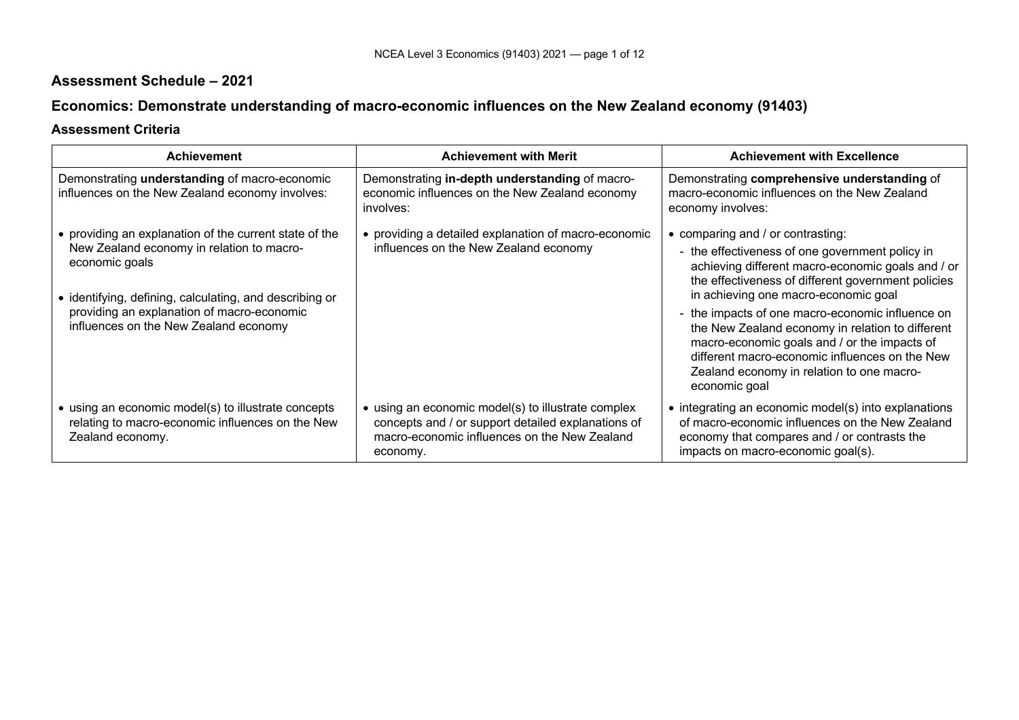## **Assessment Schedule – 2021**

# **Economics: Demonstrate understanding of macro-economic influences on the New Zealand economy (91403)**

### **Assessment Criteria**

| <b>Achievement</b>                                                                                                                                                                                                                                                      | <b>Achievement with Merit</b>                                                                                                                                        | <b>Achievement with Excellence</b>                                                                                                                                                                                                                                                                                                                                                                                                                                                                              |
|-------------------------------------------------------------------------------------------------------------------------------------------------------------------------------------------------------------------------------------------------------------------------|----------------------------------------------------------------------------------------------------------------------------------------------------------------------|-----------------------------------------------------------------------------------------------------------------------------------------------------------------------------------------------------------------------------------------------------------------------------------------------------------------------------------------------------------------------------------------------------------------------------------------------------------------------------------------------------------------|
| Demonstrating understanding of macro-economic<br>influences on the New Zealand economy involves:                                                                                                                                                                        | Demonstrating in-depth understanding of macro-<br>economic influences on the New Zealand economy<br>involves:                                                        | Demonstrating comprehensive understanding of<br>macro-economic influences on the New Zealand<br>economy involves:                                                                                                                                                                                                                                                                                                                                                                                               |
| • providing an explanation of the current state of the<br>New Zealand economy in relation to macro-<br>economic goals<br>· identifying, defining, calculating, and describing or<br>providing an explanation of macro-economic<br>influences on the New Zealand economy | • providing a detailed explanation of macro-economic<br>influences on the New Zealand economy                                                                        | • comparing and / or contrasting:<br>- the effectiveness of one government policy in<br>achieving different macro-economic goals and / or<br>the effectiveness of different government policies<br>in achieving one macro-economic goal<br>- the impacts of one macro-economic influence on<br>the New Zealand economy in relation to different<br>macro-economic goals and / or the impacts of<br>different macro-economic influences on the New<br>Zealand economy in relation to one macro-<br>economic goal |
| • using an economic model(s) to illustrate concepts<br>relating to macro-economic influences on the New<br>Zealand economy.                                                                                                                                             | • using an economic model(s) to illustrate complex<br>concepts and / or support detailed explanations of<br>macro-economic influences on the New Zealand<br>economy. | • integrating an economic model(s) into explanations<br>of macro-economic influences on the New Zealand<br>economy that compares and / or contrasts the<br>impacts on macro-economic goal(s).                                                                                                                                                                                                                                                                                                                   |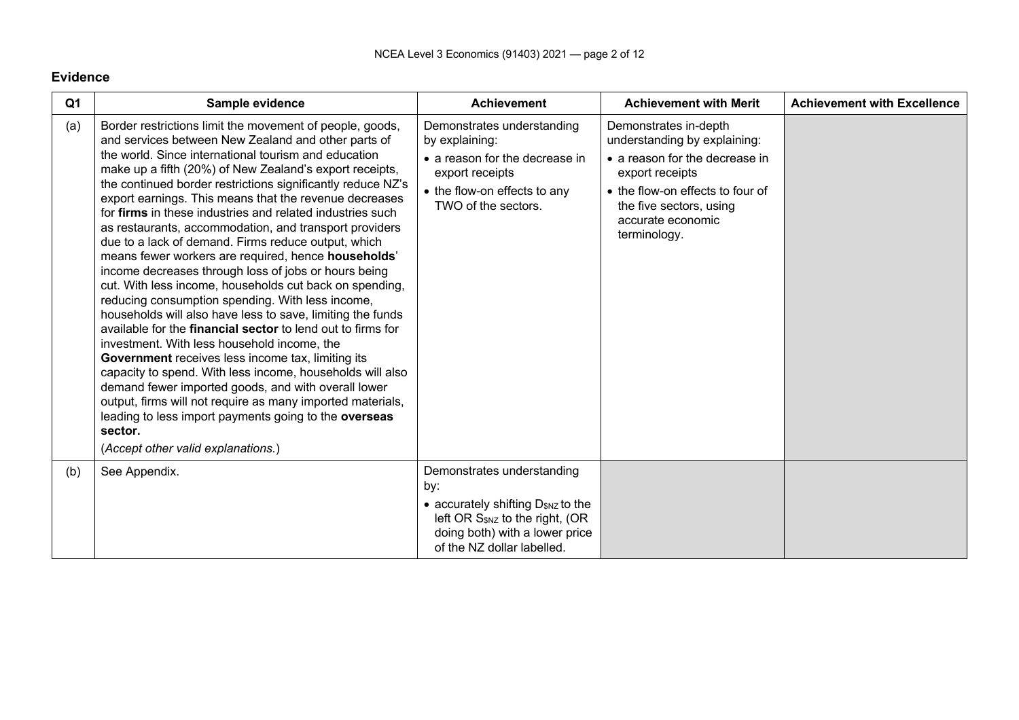#### **Evidence**

| Q <sub>1</sub> | Sample evidence                                                                                                                                                                                                                                                                                                                                                                                                                                                                                                                                                                                                                                                                                                                                                                                                                                                                                                                                                                                                                                                                                                                                                                                                                                                                                             | <b>Achievement</b>                                                                                                                                                                 | <b>Achievement with Merit</b>                                                                                                                                                                                  | <b>Achievement with Excellence</b> |
|----------------|-------------------------------------------------------------------------------------------------------------------------------------------------------------------------------------------------------------------------------------------------------------------------------------------------------------------------------------------------------------------------------------------------------------------------------------------------------------------------------------------------------------------------------------------------------------------------------------------------------------------------------------------------------------------------------------------------------------------------------------------------------------------------------------------------------------------------------------------------------------------------------------------------------------------------------------------------------------------------------------------------------------------------------------------------------------------------------------------------------------------------------------------------------------------------------------------------------------------------------------------------------------------------------------------------------------|------------------------------------------------------------------------------------------------------------------------------------------------------------------------------------|----------------------------------------------------------------------------------------------------------------------------------------------------------------------------------------------------------------|------------------------------------|
| (a)            | Border restrictions limit the movement of people, goods,<br>and services between New Zealand and other parts of<br>the world. Since international tourism and education<br>make up a fifth (20%) of New Zealand's export receipts,<br>the continued border restrictions significantly reduce NZ's<br>export earnings. This means that the revenue decreases<br>for firms in these industries and related industries such<br>as restaurants, accommodation, and transport providers<br>due to a lack of demand. Firms reduce output, which<br>means fewer workers are required, hence households'<br>income decreases through loss of jobs or hours being<br>cut. With less income, households cut back on spending,<br>reducing consumption spending. With less income,<br>households will also have less to save, limiting the funds<br>available for the <b>financial sector</b> to lend out to firms for<br>investment. With less household income, the<br>Government receives less income tax, limiting its<br>capacity to spend. With less income, households will also<br>demand fewer imported goods, and with overall lower<br>output, firms will not require as many imported materials,<br>leading to less import payments going to the overseas<br>sector.<br>(Accept other valid explanations.) | Demonstrates understanding<br>by explaining:<br>• a reason for the decrease in<br>export receipts<br>• the flow-on effects to any<br>TWO of the sectors.                           | Demonstrates in-depth<br>understanding by explaining:<br>• a reason for the decrease in<br>export receipts<br>• the flow-on effects to four of<br>the five sectors, using<br>accurate economic<br>terminology. |                                    |
| (b)            | See Appendix.                                                                                                                                                                                                                                                                                                                                                                                                                                                                                                                                                                                                                                                                                                                                                                                                                                                                                                                                                                                                                                                                                                                                                                                                                                                                                               | Demonstrates understanding<br>by:<br>• accurately shifting $D_{SNZ}$ to the<br>left OR $S_{SNZ}$ to the right, (OR<br>doing both) with a lower price<br>of the NZ dollar labelled. |                                                                                                                                                                                                                |                                    |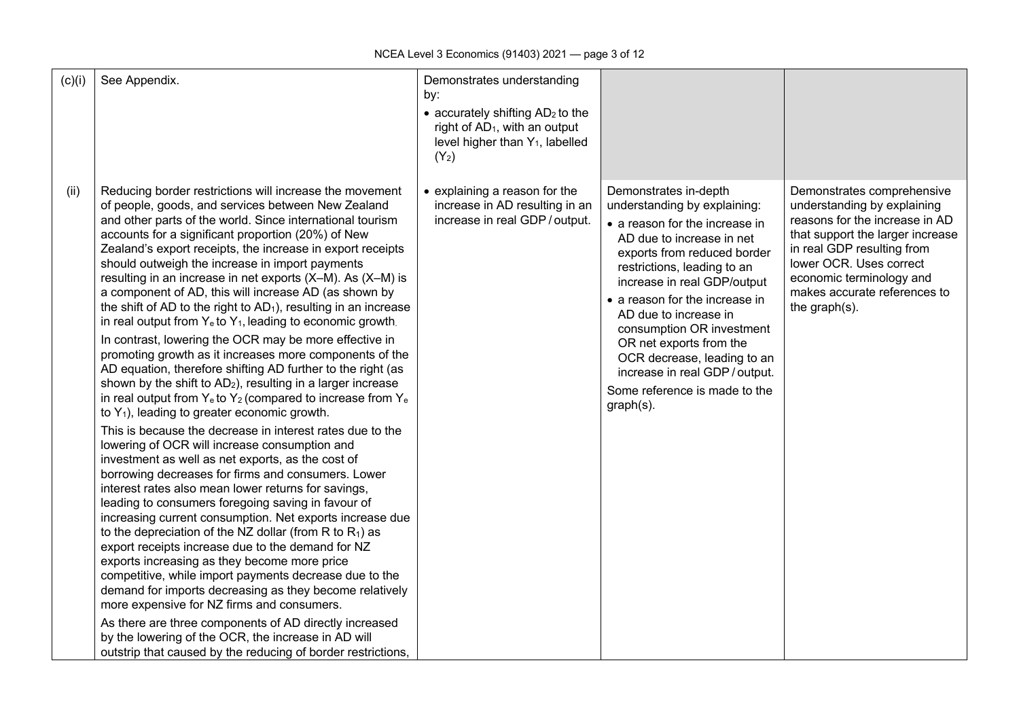| (c)(i) | See Appendix.                                                                                                                                                                                                                                                                                                                                                                                                                                                                                                                                                                                                                                                                                                                                                                                                                                                                                                                                                                                                                                                                                                                                                                                                                                                                                                                                                                                                                                                                                                                                                                                                                                                                                                                                                                                                                                                                                                                       | Demonstrates understanding<br>by:<br>• accurately shifting $AD2$ to the<br>right of AD <sub>1</sub> , with an output<br>level higher than Y <sub>1</sub> , labelled<br>$(Y_2)$ |                                                                                                                                                                                                                                                                                                                                                                                                                                                     |                                                                                                                                                                                                                                                                       |
|--------|-------------------------------------------------------------------------------------------------------------------------------------------------------------------------------------------------------------------------------------------------------------------------------------------------------------------------------------------------------------------------------------------------------------------------------------------------------------------------------------------------------------------------------------------------------------------------------------------------------------------------------------------------------------------------------------------------------------------------------------------------------------------------------------------------------------------------------------------------------------------------------------------------------------------------------------------------------------------------------------------------------------------------------------------------------------------------------------------------------------------------------------------------------------------------------------------------------------------------------------------------------------------------------------------------------------------------------------------------------------------------------------------------------------------------------------------------------------------------------------------------------------------------------------------------------------------------------------------------------------------------------------------------------------------------------------------------------------------------------------------------------------------------------------------------------------------------------------------------------------------------------------------------------------------------------------|--------------------------------------------------------------------------------------------------------------------------------------------------------------------------------|-----------------------------------------------------------------------------------------------------------------------------------------------------------------------------------------------------------------------------------------------------------------------------------------------------------------------------------------------------------------------------------------------------------------------------------------------------|-----------------------------------------------------------------------------------------------------------------------------------------------------------------------------------------------------------------------------------------------------------------------|
| (ii)   | Reducing border restrictions will increase the movement<br>of people, goods, and services between New Zealand<br>and other parts of the world. Since international tourism<br>accounts for a significant proportion (20%) of New<br>Zealand's export receipts, the increase in export receipts<br>should outweigh the increase in import payments<br>resulting in an increase in net exports (X-M). As (X-M) is<br>a component of AD, this will increase AD (as shown by<br>the shift of AD to the right to $AD_1$ ), resulting in an increase<br>in real output from $Y_e$ to $Y_1$ , leading to economic growth<br>In contrast, lowering the OCR may be more effective in<br>promoting growth as it increases more components of the<br>AD equation, therefore shifting AD further to the right (as<br>shown by the shift to AD <sub>2</sub> ), resulting in a larger increase<br>in real output from $Y_e$ to $Y_2$ (compared to increase from $Y_e$<br>to $Y_1$ ), leading to greater economic growth.<br>This is because the decrease in interest rates due to the<br>lowering of OCR will increase consumption and<br>investment as well as net exports, as the cost of<br>borrowing decreases for firms and consumers. Lower<br>interest rates also mean lower returns for savings,<br>leading to consumers foregoing saving in favour of<br>increasing current consumption. Net exports increase due<br>to the depreciation of the NZ dollar (from R to $R_1$ ) as<br>export receipts increase due to the demand for NZ<br>exports increasing as they become more price<br>competitive, while import payments decrease due to the<br>demand for imports decreasing as they become relatively<br>more expensive for NZ firms and consumers.<br>As there are three components of AD directly increased<br>by the lowering of the OCR, the increase in AD will<br>outstrip that caused by the reducing of border restrictions, | • explaining a reason for the<br>increase in AD resulting in an<br>increase in real GDP / output.                                                                              | Demonstrates in-depth<br>understanding by explaining:<br>• a reason for the increase in<br>AD due to increase in net<br>exports from reduced border<br>restrictions, leading to an<br>increase in real GDP/output<br>• a reason for the increase in<br>AD due to increase in<br>consumption OR investment<br>OR net exports from the<br>OCR decrease, leading to an<br>increase in real GDP / output.<br>Some reference is made to the<br>graph(s). | Demonstrates comprehensive<br>understanding by explaining<br>reasons for the increase in AD<br>that support the larger increase<br>in real GDP resulting from<br>lower OCR. Uses correct<br>economic terminology and<br>makes accurate references to<br>the graph(s). |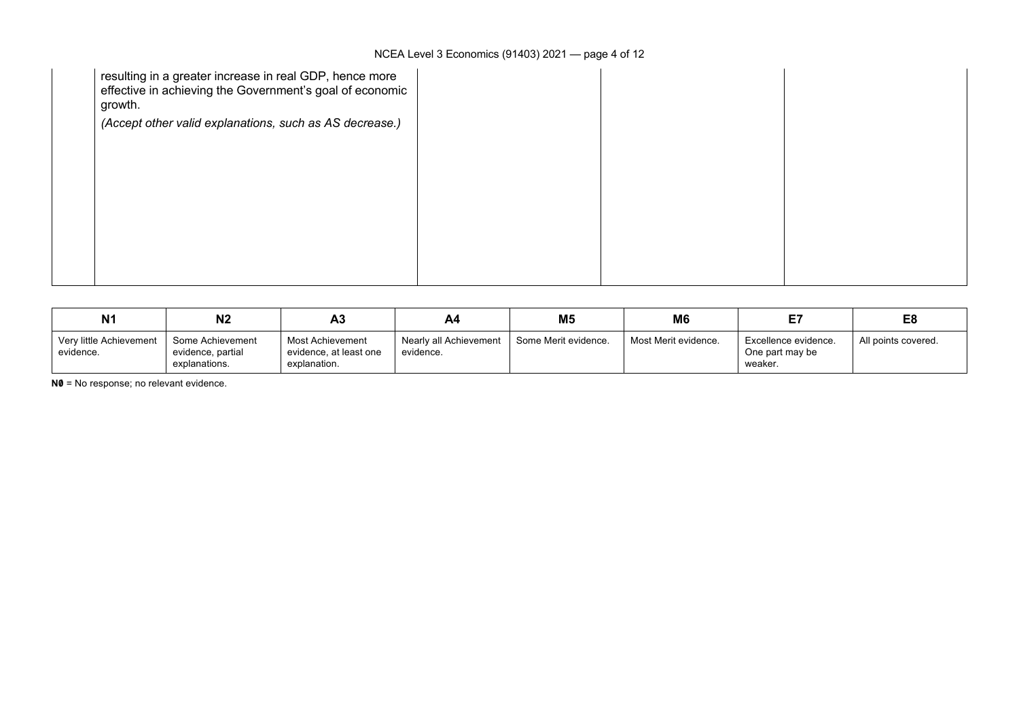| resulting in a greater increase in real GDP, hence more<br>effective in achieving the Government's goal of economic<br>growth. |  |  |
|--------------------------------------------------------------------------------------------------------------------------------|--|--|
| (Accept other valid explanations, such as AS decrease.)                                                                        |  |  |
|                                                                                                                                |  |  |
|                                                                                                                                |  |  |
|                                                                                                                                |  |  |
|                                                                                                                                |  |  |
|                                                                                                                                |  |  |
|                                                                                                                                |  |  |
|                                                                                                                                |  |  |
|                                                                                                                                |  |  |

| N <sub>1</sub>                       | N <sub>2</sub>                                         | Α3                                                         | A4                                  | M <sub>5</sub>       | M <sub>6</sub>       |                                                    | E <sub>8</sub>      |
|--------------------------------------|--------------------------------------------------------|------------------------------------------------------------|-------------------------------------|----------------------|----------------------|----------------------------------------------------|---------------------|
| Very little Achievement<br>evidence. | Some Achievement<br>evidence, partial<br>explanations. | Most Achievement<br>evidence, at least one<br>explanation. | Nearly all Achievement<br>evidence. | Some Merit evidence. | Most Merit evidence. | Excellence evidence.<br>One part may be<br>weaker. | All points covered. |

**N0** = No response; no relevant evidence.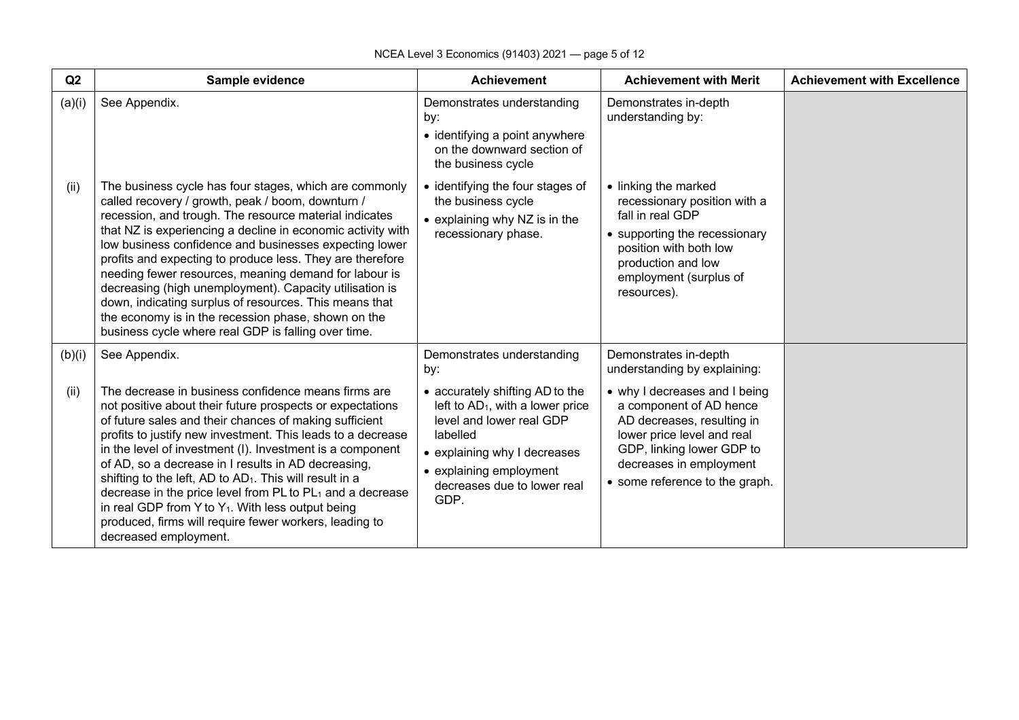| Q2     | Sample evidence                                                                                                                                                                                                                                                                                                                                                                                                                                                                                                                                                                                                                                         | <b>Achievement</b>                                                                                                                                                                                               | <b>Achievement with Merit</b>                                                                                                                                                                                  | <b>Achievement with Excellence</b> |
|--------|---------------------------------------------------------------------------------------------------------------------------------------------------------------------------------------------------------------------------------------------------------------------------------------------------------------------------------------------------------------------------------------------------------------------------------------------------------------------------------------------------------------------------------------------------------------------------------------------------------------------------------------------------------|------------------------------------------------------------------------------------------------------------------------------------------------------------------------------------------------------------------|----------------------------------------------------------------------------------------------------------------------------------------------------------------------------------------------------------------|------------------------------------|
| (a)(i) | See Appendix.                                                                                                                                                                                                                                                                                                                                                                                                                                                                                                                                                                                                                                           | Demonstrates understanding<br>by:<br>• identifying a point anywhere<br>on the downward section of<br>the business cycle                                                                                          | Demonstrates in-depth<br>understanding by:                                                                                                                                                                     |                                    |
| (ii)   | The business cycle has four stages, which are commonly<br>called recovery / growth, peak / boom, downturn /<br>recession, and trough. The resource material indicates<br>that NZ is experiencing a decline in economic activity with<br>low business confidence and businesses expecting lower<br>profits and expecting to produce less. They are therefore<br>needing fewer resources, meaning demand for labour is<br>decreasing (high unemployment). Capacity utilisation is<br>down, indicating surplus of resources. This means that<br>the economy is in the recession phase, shown on the<br>business cycle where real GDP is falling over time. | • identifying the four stages of<br>the business cycle<br>• explaining why NZ is in the<br>recessionary phase.                                                                                                   | • linking the marked<br>recessionary position with a<br>fall in real GDP<br>• supporting the recessionary<br>position with both low<br>production and low<br>employment (surplus of<br>resources).             |                                    |
| (b)(i) | See Appendix.                                                                                                                                                                                                                                                                                                                                                                                                                                                                                                                                                                                                                                           | Demonstrates understanding<br>by:                                                                                                                                                                                | Demonstrates in-depth<br>understanding by explaining:                                                                                                                                                          |                                    |
| (ii)   | The decrease in business confidence means firms are<br>not positive about their future prospects or expectations<br>of future sales and their chances of making sufficient<br>profits to justify new investment. This leads to a decrease<br>in the level of investment (I). Investment is a component<br>of AD, so a decrease in I results in AD decreasing,<br>shifting to the left, AD to AD <sub>1</sub> . This will result in a<br>decrease in the price level from PL to PL1 and a decrease<br>in real GDP from Y to $Y_1$ . With less output being<br>produced, firms will require fewer workers, leading to<br>decreased employment.            | • accurately shifting AD to the<br>left to $AD_1$ , with a lower price<br>level and lower real GDP<br>labelled<br>• explaining why I decreases<br>• explaining employment<br>decreases due to lower real<br>GDP. | • why I decreases and I being<br>a component of AD hence<br>AD decreases, resulting in<br>lower price level and real<br>GDP, linking lower GDP to<br>decreases in employment<br>• some reference to the graph. |                                    |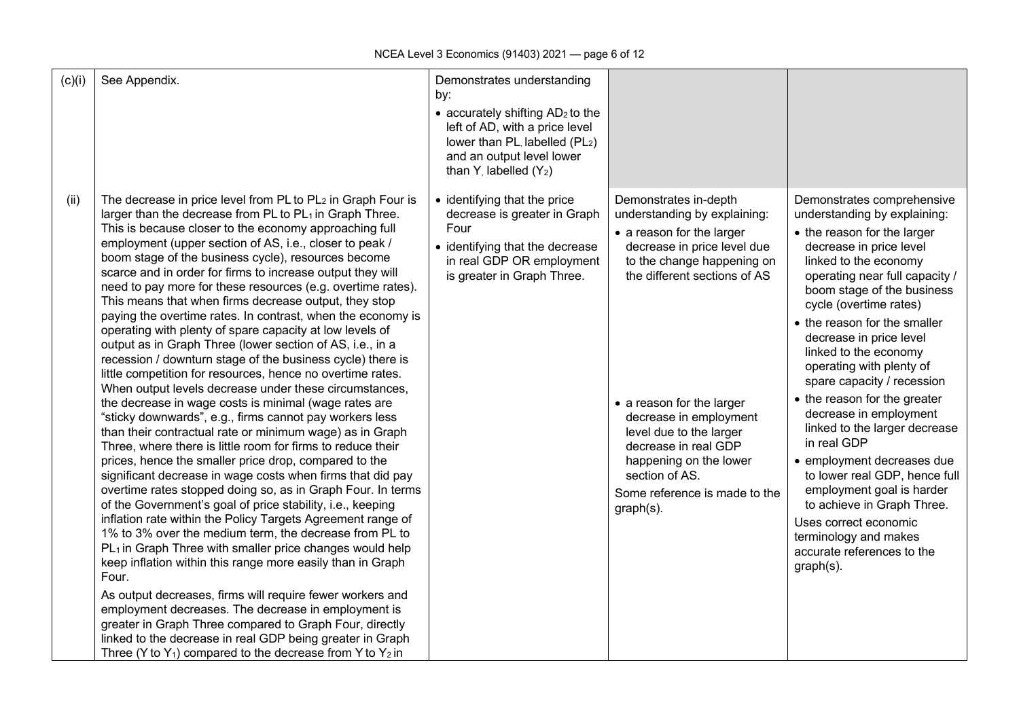NCEA Level 3 Economics (91403) 2021 — page 6 of 12

| (c)(i) | See Appendix.                                                                                                                                                                                                                                                                                                                                                                                                                                                                                                                                                                                                                                                                                                                                                                                                                                                                                                                                                                                                                                                                                                                                                                                                                                                                                                                                                                                                                                                                                                                                                                                                                                                                                                                                                                                                                                                                                                                                                                                  | Demonstrates understanding<br>by:<br>• accurately shifting $AD2$ to the<br>left of AD, with a price level<br>lower than PL labelled (PL2)<br>and an output level lower<br>than $Y$ , labelled $(Y_2)$ |                                                                                                                                                                                                                                                                                                                                                                                     |                                                                                                                                                                                                                                                                                                                                                                                                                                                                                                                                                                                                                                                                                                                        |
|--------|------------------------------------------------------------------------------------------------------------------------------------------------------------------------------------------------------------------------------------------------------------------------------------------------------------------------------------------------------------------------------------------------------------------------------------------------------------------------------------------------------------------------------------------------------------------------------------------------------------------------------------------------------------------------------------------------------------------------------------------------------------------------------------------------------------------------------------------------------------------------------------------------------------------------------------------------------------------------------------------------------------------------------------------------------------------------------------------------------------------------------------------------------------------------------------------------------------------------------------------------------------------------------------------------------------------------------------------------------------------------------------------------------------------------------------------------------------------------------------------------------------------------------------------------------------------------------------------------------------------------------------------------------------------------------------------------------------------------------------------------------------------------------------------------------------------------------------------------------------------------------------------------------------------------------------------------------------------------------------------------|-------------------------------------------------------------------------------------------------------------------------------------------------------------------------------------------------------|-------------------------------------------------------------------------------------------------------------------------------------------------------------------------------------------------------------------------------------------------------------------------------------------------------------------------------------------------------------------------------------|------------------------------------------------------------------------------------------------------------------------------------------------------------------------------------------------------------------------------------------------------------------------------------------------------------------------------------------------------------------------------------------------------------------------------------------------------------------------------------------------------------------------------------------------------------------------------------------------------------------------------------------------------------------------------------------------------------------------|
| (ii)   | The decrease in price level from PL to PL <sub>2</sub> in Graph Four is<br>larger than the decrease from PL to PL1 in Graph Three.<br>This is because closer to the economy approaching full<br>employment (upper section of AS, i.e., closer to peak /<br>boom stage of the business cycle), resources become<br>scarce and in order for firms to increase output they will<br>need to pay more for these resources (e.g. overtime rates).<br>This means that when firms decrease output, they stop<br>paying the overtime rates. In contrast, when the economy is<br>operating with plenty of spare capacity at low levels of<br>output as in Graph Three (lower section of AS, i.e., in a<br>recession / downturn stage of the business cycle) there is<br>little competition for resources, hence no overtime rates.<br>When output levels decrease under these circumstances,<br>the decrease in wage costs is minimal (wage rates are<br>"sticky downwards", e.g., firms cannot pay workers less<br>than their contractual rate or minimum wage) as in Graph<br>Three, where there is little room for firms to reduce their<br>prices, hence the smaller price drop, compared to the<br>significant decrease in wage costs when firms that did pay<br>overtime rates stopped doing so, as in Graph Four. In terms<br>of the Government's goal of price stability, i.e., keeping<br>inflation rate within the Policy Targets Agreement range of<br>1% to 3% over the medium term, the decrease from PL to<br>PL <sub>1</sub> in Graph Three with smaller price changes would help<br>keep inflation within this range more easily than in Graph<br>Four.<br>As output decreases, firms will require fewer workers and<br>employment decreases. The decrease in employment is<br>greater in Graph Three compared to Graph Four, directly<br>linked to the decrease in real GDP being greater in Graph<br>Three (Y to Y <sub>1</sub> ) compared to the decrease from Y to Y <sub>2</sub> in | • identifying that the price<br>decrease is greater in Graph<br>Four<br>• identifying that the decrease<br>in real GDP OR employment<br>is greater in Graph Three.                                    | Demonstrates in-depth<br>understanding by explaining:<br>• a reason for the larger<br>decrease in price level due<br>to the change happening on<br>the different sections of AS<br>• a reason for the larger<br>decrease in employment<br>level due to the larger<br>decrease in real GDP<br>happening on the lower<br>section of AS.<br>Some reference is made to the<br>graph(s). | Demonstrates comprehensive<br>understanding by explaining:<br>• the reason for the larger<br>decrease in price level<br>linked to the economy<br>operating near full capacity /<br>boom stage of the business<br>cycle (overtime rates)<br>• the reason for the smaller<br>decrease in price level<br>linked to the economy<br>operating with plenty of<br>spare capacity / recession<br>• the reason for the greater<br>decrease in employment<br>linked to the larger decrease<br>in real GDP<br>· employment decreases due<br>to lower real GDP, hence full<br>employment goal is harder<br>to achieve in Graph Three.<br>Uses correct economic<br>terminology and makes<br>accurate references to the<br>graph(s). |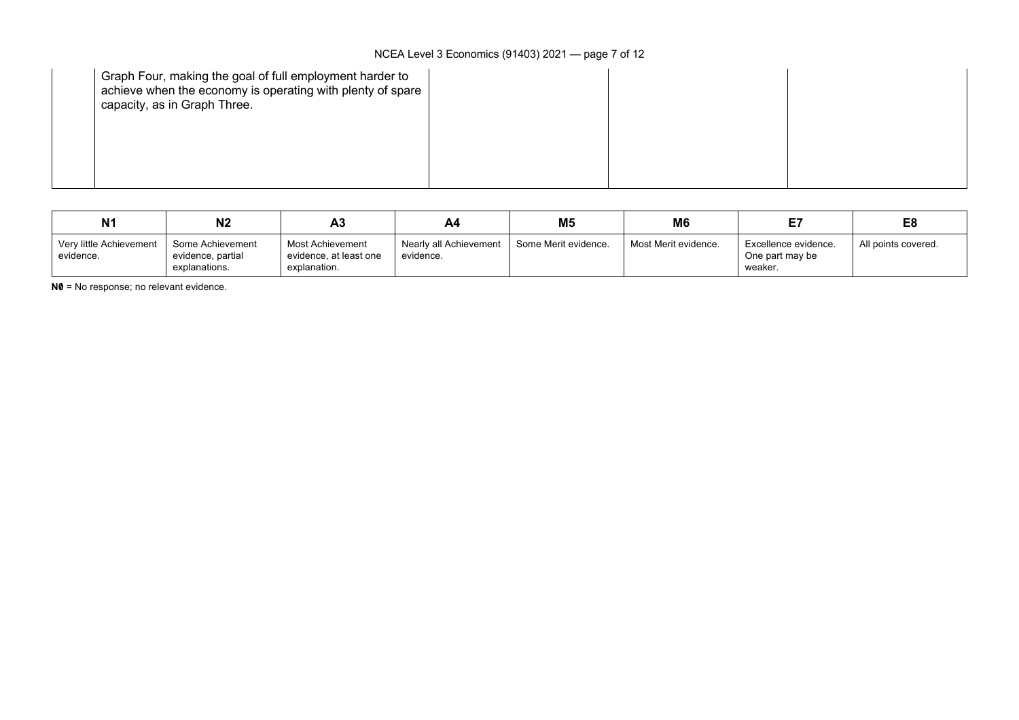| Graph Four, making the goal of full employment harder to<br>achieve when the economy is operating with plenty of spare<br>capacity, as in Graph Three. |  |  |
|--------------------------------------------------------------------------------------------------------------------------------------------------------|--|--|
|                                                                                                                                                        |  |  |

| <b>N1</b>                            | N <sub>2</sub>                                         | Α3                                                         | A4                                  | M <sub>5</sub>       | M <sub>6</sub>       |                                                    | E <sub>8</sub>      |
|--------------------------------------|--------------------------------------------------------|------------------------------------------------------------|-------------------------------------|----------------------|----------------------|----------------------------------------------------|---------------------|
| Very little Achievement<br>evidence. | Some Achievement<br>evidence, partial<br>explanations. | Most Achievement<br>evidence, at least one<br>explanation. | Nearly all Achievement<br>evidence. | Some Merit evidence. | Most Merit evidence. | Excellence evidence.<br>One part may be<br>weaker. | All points covered. |

**N0** = No response; no relevant evidence.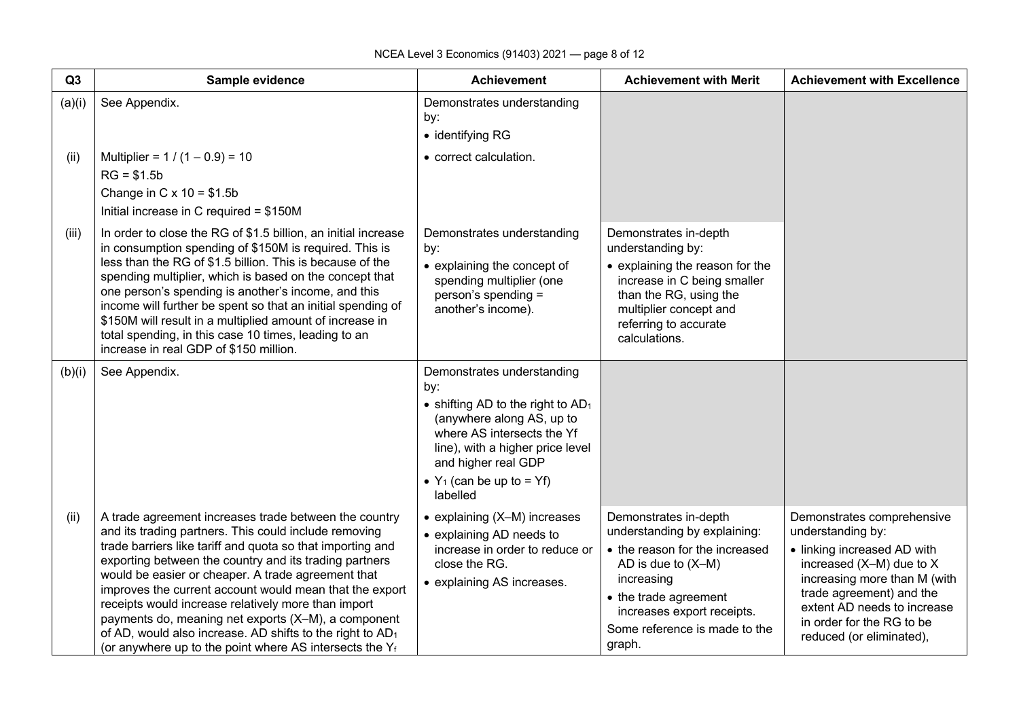| Q <sub>3</sub> | Sample evidence                                                                                                                                                                                                                                                                                                                                                                                                                                                                                                                                                                                                                                                           | <b>Achievement</b>                                                                                                                                                                                                                                          | <b>Achievement with Merit</b>                                                                                                                                                                                                   | <b>Achievement with Excellence</b>                                                                                                                                                                                                                             |
|----------------|---------------------------------------------------------------------------------------------------------------------------------------------------------------------------------------------------------------------------------------------------------------------------------------------------------------------------------------------------------------------------------------------------------------------------------------------------------------------------------------------------------------------------------------------------------------------------------------------------------------------------------------------------------------------------|-------------------------------------------------------------------------------------------------------------------------------------------------------------------------------------------------------------------------------------------------------------|---------------------------------------------------------------------------------------------------------------------------------------------------------------------------------------------------------------------------------|----------------------------------------------------------------------------------------------------------------------------------------------------------------------------------------------------------------------------------------------------------------|
| (a)(i)         | See Appendix.                                                                                                                                                                                                                                                                                                                                                                                                                                                                                                                                                                                                                                                             | Demonstrates understanding<br>by:<br>• identifying RG                                                                                                                                                                                                       |                                                                                                                                                                                                                                 |                                                                                                                                                                                                                                                                |
| (ii)<br>(iii)  | Multiplier = $1 / (1 - 0.9) = 10$<br>$RG = $1.5b$<br>Change in C $\times$ 10 = \$1.5b<br>Initial increase in C required = $$150M$<br>In order to close the RG of \$1.5 billion, an initial increase<br>in consumption spending of \$150M is required. This is<br>less than the RG of \$1.5 billion. This is because of the<br>spending multiplier, which is based on the concept that<br>one person's spending is another's income, and this<br>income will further be spent so that an initial spending of<br>\$150M will result in a multiplied amount of increase in<br>total spending, in this case 10 times, leading to an<br>increase in real GDP of \$150 million. | • correct calculation.<br>Demonstrates understanding<br>by:<br>• explaining the concept of<br>spending multiplier (one<br>person's spending =<br>another's income).                                                                                         | Demonstrates in-depth<br>understanding by:<br>• explaining the reason for the<br>increase in C being smaller<br>than the RG, using the<br>multiplier concept and<br>referring to accurate<br>calculations.                      |                                                                                                                                                                                                                                                                |
| (b)(i)         | See Appendix.                                                                                                                                                                                                                                                                                                                                                                                                                                                                                                                                                                                                                                                             | Demonstrates understanding<br>by:<br>$\bullet$ shifting AD to the right to AD <sub>1</sub><br>(anywhere along AS, up to<br>where AS intersects the Yf<br>line), with a higher price level<br>and higher real GDP<br>• $Y_1$ (can be up to = Yf)<br>labelled |                                                                                                                                                                                                                                 |                                                                                                                                                                                                                                                                |
| (ii)           | A trade agreement increases trade between the country<br>and its trading partners. This could include removing<br>trade barriers like tariff and quota so that importing and<br>exporting between the country and its trading partners<br>would be easier or cheaper. A trade agreement that<br>improves the current account would mean that the export<br>receipts would increase relatively more than import<br>payments do, meaning net exports (X-M), a component<br>of AD, would also increase. AD shifts to the right to AD <sub>1</sub><br>(or anywhere up to the point where AS intersects the Yf                                                                 | • explaining (X-M) increases<br>• explaining AD needs to<br>increase in order to reduce or<br>close the RG.<br>• explaining AS increases.                                                                                                                   | Demonstrates in-depth<br>understanding by explaining:<br>• the reason for the increased<br>AD is due to $(X-M)$<br>increasing<br>• the trade agreement<br>increases export receipts.<br>Some reference is made to the<br>graph. | Demonstrates comprehensive<br>understanding by:<br>• linking increased AD with<br>increased (X-M) due to X<br>increasing more than M (with<br>trade agreement) and the<br>extent AD needs to increase<br>in order for the RG to be<br>reduced (or eliminated), |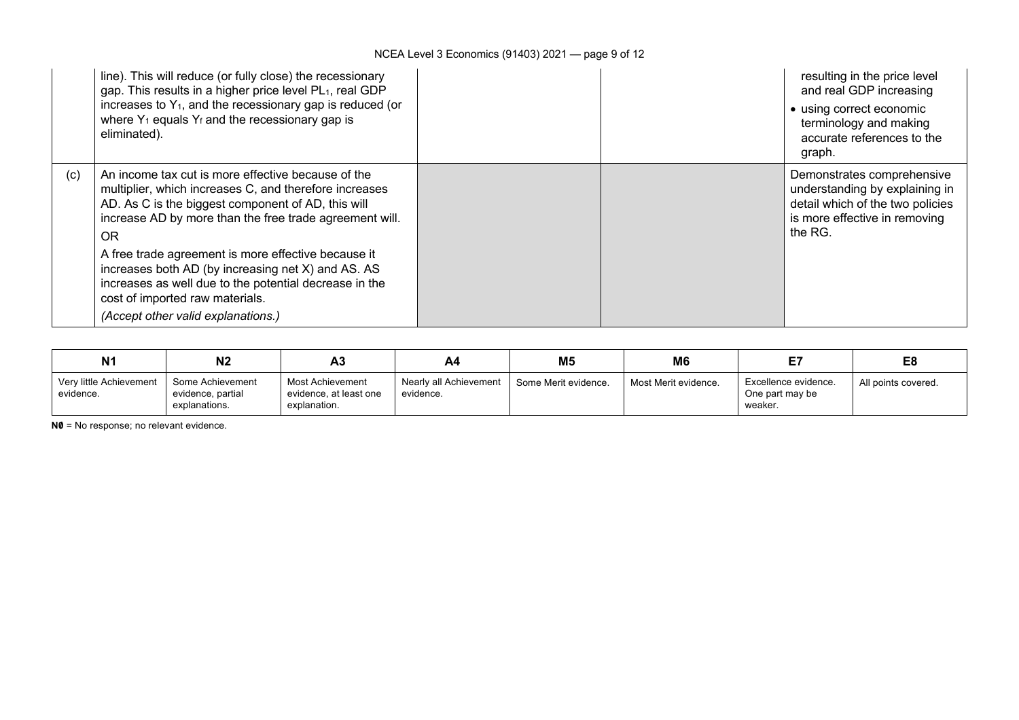|     | line). This will reduce (or fully close) the recessionary<br>gap. This results in a higher price level PL <sub>1</sub> , real GDP<br>increases to $Y_1$ , and the recessionary gap is reduced (or<br>where $Y_1$ equals $Y_f$ and the recessionary gap is<br>eliminated).                                                                                                                                                                                                           |  | resulting in the price level<br>and real GDP increasing<br>• using correct economic<br>terminology and making<br>accurate references to the<br>graph. |
|-----|-------------------------------------------------------------------------------------------------------------------------------------------------------------------------------------------------------------------------------------------------------------------------------------------------------------------------------------------------------------------------------------------------------------------------------------------------------------------------------------|--|-------------------------------------------------------------------------------------------------------------------------------------------------------|
| (c) | An income tax cut is more effective because of the<br>multiplier, which increases C, and therefore increases<br>AD. As C is the biggest component of AD, this will<br>increase AD by more than the free trade agreement will.<br>OR<br>A free trade agreement is more effective because it<br>increases both AD (by increasing net X) and AS. AS<br>increases as well due to the potential decrease in the<br>cost of imported raw materials.<br>(Accept other valid explanations.) |  | Demonstrates comprehensive<br>understanding by explaining in<br>detail which of the two policies<br>is more effective in removing<br>the RG.          |

| <b>N1</b>                            | N <sub>2</sub>                                         | ΑJ                                                         | A4                                  | M <sub>5</sub>       | M6                   |                                                    | E <sub>8</sub>      |
|--------------------------------------|--------------------------------------------------------|------------------------------------------------------------|-------------------------------------|----------------------|----------------------|----------------------------------------------------|---------------------|
| Very little Achievement<br>evidence. | Some Achievement<br>evidence, partial<br>explanations. | Most Achievement<br>evidence, at least one<br>explanation. | Nearly all Achievement<br>evidence. | Some Merit evidence. | Most Merit evidence. | Excellence evidence.<br>One part may be<br>weaker. | All points covered. |

**N0** = No response; no relevant evidence.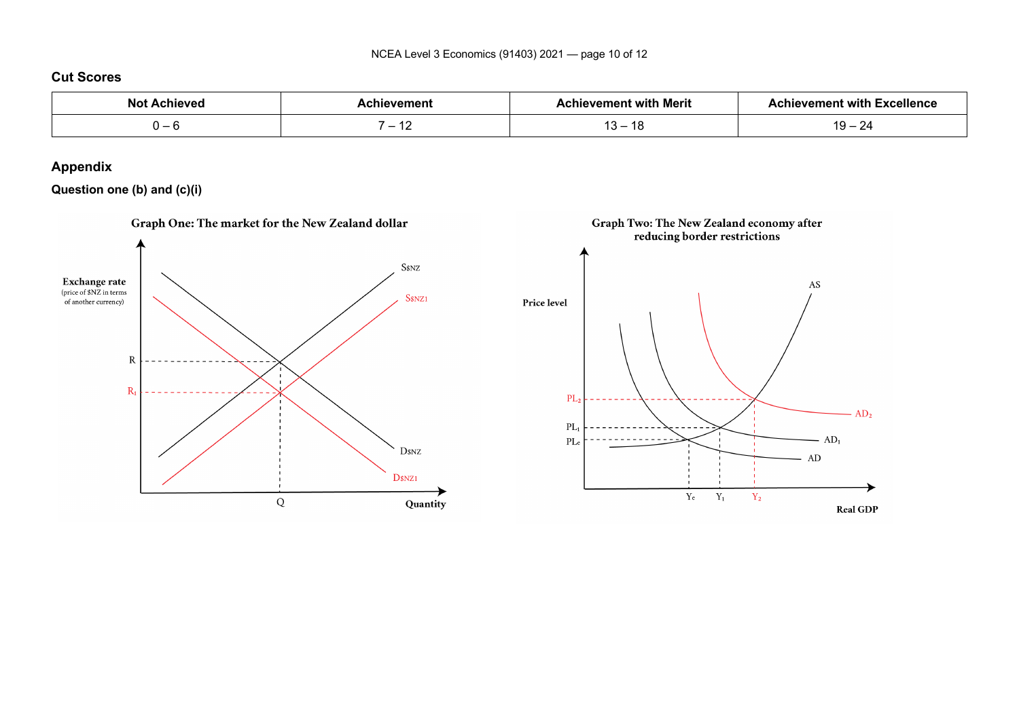#### **Cut Scores**

| No<br>$\cdots$ | vemen.                                               | . .<br>.<br>evement with Merit | .<br>$\gamma$ nievement with Excellence. |
|----------------|------------------------------------------------------|--------------------------------|------------------------------------------|
| .              | $\overline{\phantom{a}}$<br>$\overline{\phantom{0}}$ | . A C<br>. –<br>. I L<br>ື     | 1 Q<br>՝                                 |

#### **Appendix**

#### **Question one (b) and (c)(i)**

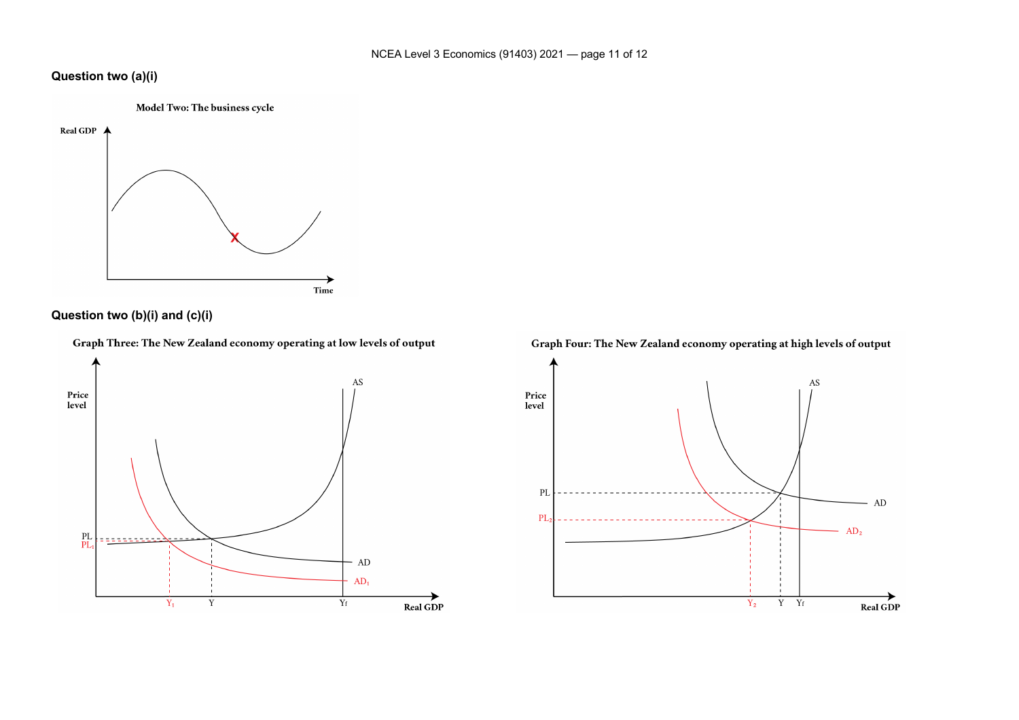#### **Question two (a)(i)**

Model Two: The business cycle





Graph Three: The New Zealand economy operating at low levels of output